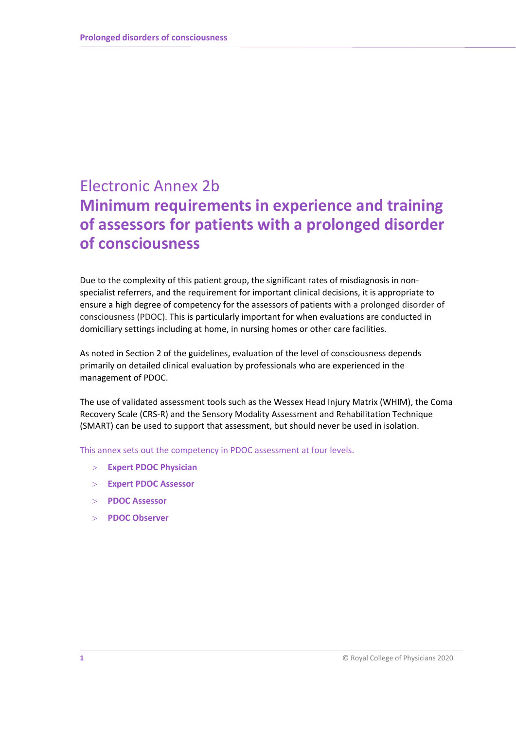# Electronic Annex 2b **Minimum requirements in experience and training of assessors for patients with a prolonged disorder of consciousness**

Due to the complexity of this patient group, the significant rates of misdiagnosis in nonspecialist referrers, and the requirement for important clinical decisions, it is appropriate to ensure a high degree of competency for the assessors of patients with a prolonged disorder of consciousness (PDOC). This is particularly important for when evaluations are conducted in domiciliary settings including at home, in nursing homes or other care facilities.

As noted in Section 2 of the guidelines, evaluation of the level of consciousness depends primarily on detailed clinical evaluation by professionals who are experienced in the management of PDOC.

The use of validated assessment tools such as the Wessex Head Injury Matrix (WHIM), the Coma Recovery Scale (CRS-R) and the Sensory Modality Assessment and Rehabilitation Technique (SMART) can be used to support that assessment, but should never be used in isolation.

This annex sets out the competency in PDOC assessment at four levels.

- **Expert PDOC Physician**
- **Expert PDOC Assessor**
- **PDOC Assessor**
- **PDOC Observer**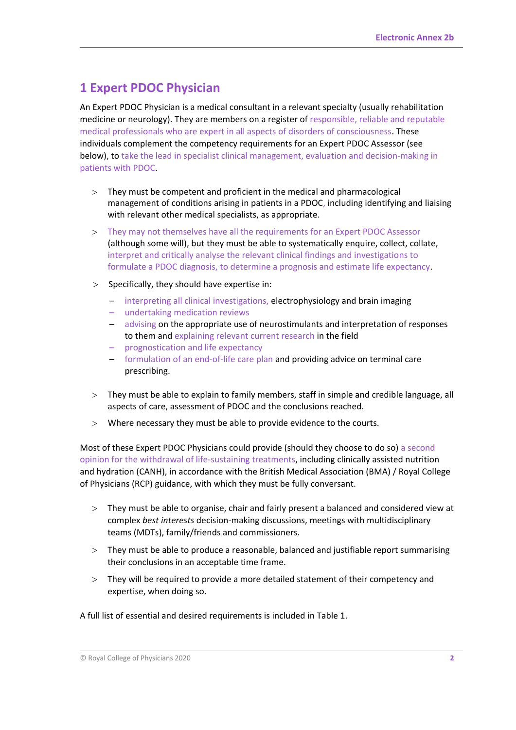## **1 Expert PDOC Physician**

An Expert PDOC Physician is a medical consultant in a relevant specialty (usually rehabilitation medicine or neurology). They are members on a register of responsible, reliable and reputable medical professionals who are expert in all aspects of disorders of consciousness. These individuals complement the competency requirements for an Expert PDOC Assessor (see below), to take the lead in specialist clinical management, evaluation and decision-making in patients with PDOC.

- $>$  They must be competent and proficient in the medical and pharmacological management of conditions arising in patients in a PDOC, including identifying and liaising with relevant other medical specialists, as appropriate.
- They may not themselves have all the requirements for an Expert PDOC Assessor (although some will), but they must be able to systematically enquire, collect, collate, interpret and critically analyse the relevant clinical findings and investigations to formulate a PDOC diagnosis, to determine a prognosis and estimate life expectancy.
- $>$  Specifically, they should have expertise in:
	- interpreting all clinical investigations, electrophysiology and brain imaging
	- undertaking medication reviews
	- advising on the appropriate use of neurostimulants and interpretation of responses to them and explaining relevant current research in the field
	- prognostication and life expectancy
	- formulation of an end-of-life care plan and providing advice on terminal care prescribing.
- They must be able to explain to family members, staff in simple and credible language, all aspects of care, assessment of PDOC and the conclusions reached.
- Where necessary they must be able to provide evidence to the courts.

Most of these Expert PDOC Physicians could provide (should they choose to do so) a second opinion for the withdrawal of life-sustaining treatments, including clinically assisted nutrition and hydration (CANH), in accordance with the British Medical Association (BMA) / Royal College of Physicians (RCP) guidance, with which they must be fully conversant.

- They must be able to organise, chair and fairly present a balanced and considered view at complex *best interests* decision-making discussions, meetings with multidisciplinary teams (MDTs), family/friends and commissioners.
- They must be able to produce a reasonable, balanced and justifiable report summarising their conclusions in an acceptable time frame.
- They will be required to provide a more detailed statement of their competency and expertise, when doing so.

A full list of essential and desired requirements is included in Table 1.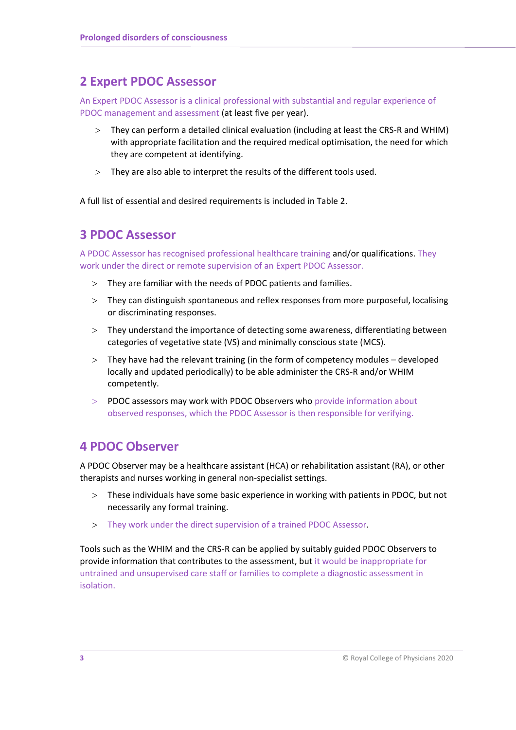### **2 Expert PDOC Assessor**

An Expert PDOC Assessor is a clinical professional with substantial and regular experience of PDOC management and assessment (at least five per year).

- They can perform a detailed clinical evaluation (including at least the CRS-R and WHIM) with appropriate facilitation and the required medical optimisation, the need for which they are competent at identifying.
- They are also able to interpret the results of the different tools used.

A full list of essential and desired requirements is included in Table 2.

### **3 PDOC Assessor**

A PDOC Assessor has recognised professional healthcare training and/or qualifications. They work under the direct or remote supervision of an Expert PDOC Assessor.

- They are familiar with the needs of PDOC patients and families.
- They can distinguish spontaneous and reflex responses from more purposeful, localising or discriminating responses.
- They understand the importance of detecting some awareness, differentiating between categories of vegetative state (VS) and minimally conscious state (MCS).
- They have had the relevant training (in the form of competency modules developed locally and updated periodically) to be able administer the CRS-R and/or WHIM competently.
- PDOC assessors may work with PDOC Observers who provide information about observed responses, which the PDOC Assessor is then responsible for verifying.

### **4 PDOC Observer**

A PDOC Observer may be a healthcare assistant (HCA) or rehabilitation assistant (RA), or other therapists and nurses working in general non-specialist settings.

- These individuals have some basic experience in working with patients in PDOC, but not necessarily any formal training.
- They work under the direct supervision of a trained PDOC Assessor.

Tools such as the WHIM and the CRS-R can be applied by suitably guided PDOC Observers to provide information that contributes to the assessment, but it would be inappropriate for untrained and unsupervised care staff or families to complete a diagnostic assessment in isolation.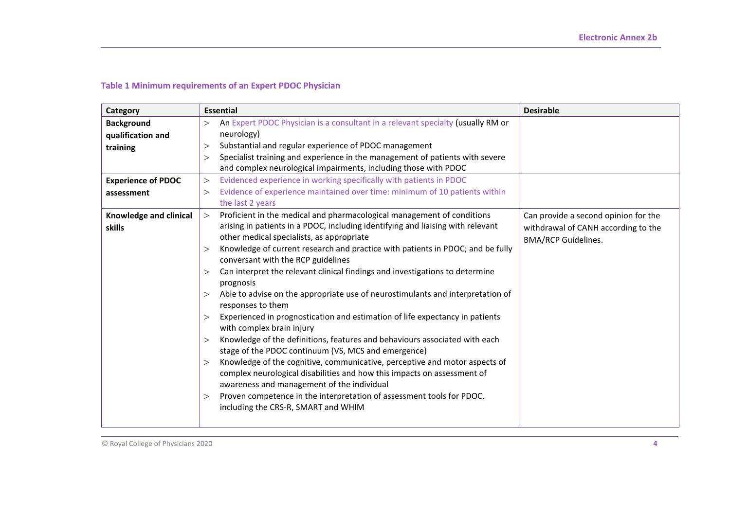#### **Table 1 Minimum requirements of an Expert PDOC Physician**

| Category                  | <b>Essential</b>                                                                                                    | <b>Desirable</b>                     |
|---------------------------|---------------------------------------------------------------------------------------------------------------------|--------------------------------------|
| <b>Background</b>         | An Expert PDOC Physician is a consultant in a relevant specialty (usually RM or<br>$\geq$                           |                                      |
| qualification and         | neurology)                                                                                                          |                                      |
| training                  | Substantial and regular experience of PDOC management<br>$\geq$                                                     |                                      |
|                           | Specialist training and experience in the management of patients with severe<br>$\geq$                              |                                      |
|                           | and complex neurological impairments, including those with PDOC                                                     |                                      |
| <b>Experience of PDOC</b> | Evidenced experience in working specifically with patients in PDOC<br>$\geq$                                        |                                      |
| assessment                | Evidence of experience maintained over time: minimum of 10 patients within<br>$\geq$                                |                                      |
|                           | the last 2 years                                                                                                    |                                      |
| Knowledge and clinical    | Proficient in the medical and pharmacological management of conditions<br>$\geq$                                    | Can provide a second opinion for the |
| skills                    | arising in patients in a PDOC, including identifying and liaising with relevant                                     | withdrawal of CANH according to the  |
|                           | other medical specialists, as appropriate                                                                           | <b>BMA/RCP Guidelines.</b>           |
|                           | Knowledge of current research and practice with patients in PDOC; and be fully<br>$\geq$                            |                                      |
|                           | conversant with the RCP guidelines                                                                                  |                                      |
|                           | Can interpret the relevant clinical findings and investigations to determine<br>>                                   |                                      |
|                           | prognosis                                                                                                           |                                      |
|                           | Able to advise on the appropriate use of neurostimulants and interpretation of<br>><br>responses to them            |                                      |
|                           | Experienced in prognostication and estimation of life expectancy in patients<br>$\geq$<br>with complex brain injury |                                      |
|                           | Knowledge of the definitions, features and behaviours associated with each<br>$\geq$                                |                                      |
|                           | stage of the PDOC continuum (VS, MCS and emergence)                                                                 |                                      |
|                           | Knowledge of the cognitive, communicative, perceptive and motor aspects of<br>$\geq$                                |                                      |
|                           | complex neurological disabilities and how this impacts on assessment of                                             |                                      |
|                           | awareness and management of the individual                                                                          |                                      |
|                           | Proven competence in the interpretation of assessment tools for PDOC,<br>$\rm{>}$                                   |                                      |
|                           | including the CRS-R, SMART and WHIM                                                                                 |                                      |
|                           |                                                                                                                     |                                      |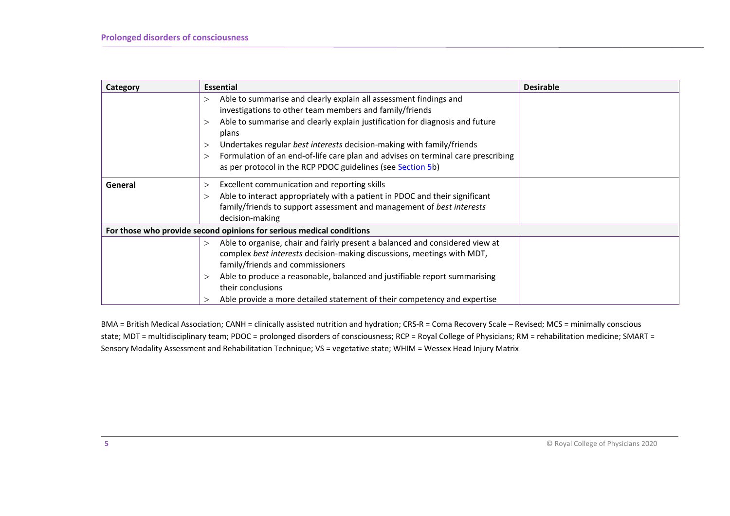| Category | <b>Essential</b>                                                                             | <b>Desirable</b> |  |  |
|----------|----------------------------------------------------------------------------------------------|------------------|--|--|
|          | Able to summarise and clearly explain all assessment findings and<br>$\geq$                  |                  |  |  |
|          | investigations to other team members and family/friends                                      |                  |  |  |
|          | Able to summarise and clearly explain justification for diagnosis and future<br>$\geq$       |                  |  |  |
|          | plans                                                                                        |                  |  |  |
|          | Undertakes regular best interests decision-making with family/friends<br>>                   |                  |  |  |
|          | Formulation of an end-of-life care plan and advises on terminal care prescribing<br>$\rm{>}$ |                  |  |  |
|          | as per protocol in the RCP PDOC guidelines (see Section 5b)                                  |                  |  |  |
| General  | Excellent communication and reporting skills                                                 |                  |  |  |
|          | Able to interact appropriately with a patient in PDOC and their significant<br>$\geq$        |                  |  |  |
|          | family/friends to support assessment and management of best interests                        |                  |  |  |
|          | decision-making                                                                              |                  |  |  |
|          | For those who provide second opinions for serious medical conditions                         |                  |  |  |
|          | Able to organise, chair and fairly present a balanced and considered view at<br>$\geq$       |                  |  |  |
|          | complex best interests decision-making discussions, meetings with MDT,                       |                  |  |  |
|          | family/friends and commissioners                                                             |                  |  |  |
|          | Able to produce a reasonable, balanced and justifiable report summarising<br>>               |                  |  |  |
|          | their conclusions                                                                            |                  |  |  |
|          | Able provide a more detailed statement of their competency and expertise                     |                  |  |  |

BMA = British Medical Association; CANH = clinically assisted nutrition and hydration; CRS-R = Coma Recovery Scale – Revised; MCS = minimally conscious state; MDT = multidisciplinary team; PDOC = prolonged disorders of consciousness; RCP = Royal College of Physicians; RM = rehabilitation medicine; SMART = Sensory Modality Assessment and Rehabilitation Technique; VS = vegetative state; WHIM = Wessex Head Injury Matrix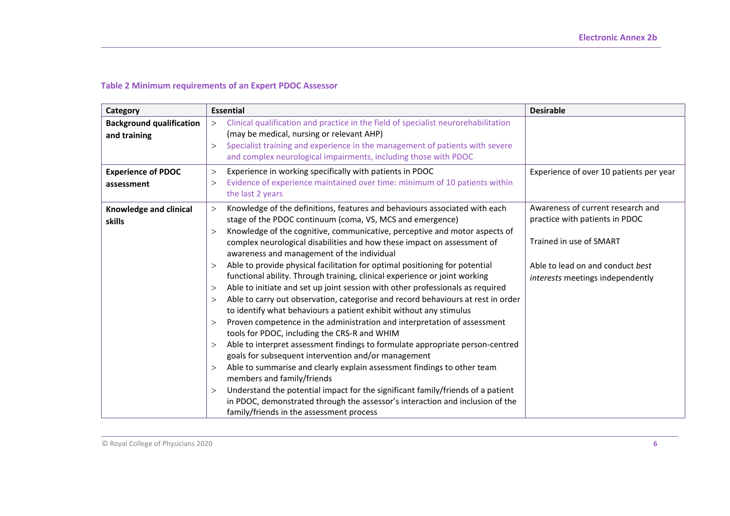#### **Table 2 Minimum requirements of an Expert PDOC Assessor**

| Category                                        | <b>Essential</b>                                                                                                                                                                                                                                                                                                                                                                                                                                                                                                                                                                                                                                                                                                                                                                                                                                                                                                                                                                                                                                                                                                                                                                                                                                                                                                                                                                                                                                  | <b>Desirable</b>                                                                                                                                                       |  |  |  |
|-------------------------------------------------|---------------------------------------------------------------------------------------------------------------------------------------------------------------------------------------------------------------------------------------------------------------------------------------------------------------------------------------------------------------------------------------------------------------------------------------------------------------------------------------------------------------------------------------------------------------------------------------------------------------------------------------------------------------------------------------------------------------------------------------------------------------------------------------------------------------------------------------------------------------------------------------------------------------------------------------------------------------------------------------------------------------------------------------------------------------------------------------------------------------------------------------------------------------------------------------------------------------------------------------------------------------------------------------------------------------------------------------------------------------------------------------------------------------------------------------------------|------------------------------------------------------------------------------------------------------------------------------------------------------------------------|--|--|--|
| <b>Background qualification</b><br>and training | Clinical qualification and practice in the field of specialist neurorehabilitation<br>$\rm{>}$<br>(may be medical, nursing or relevant AHP)<br>Specialist training and experience in the management of patients with severe<br>$\geq$<br>and complex neurological impairments, including those with PDOC                                                                                                                                                                                                                                                                                                                                                                                                                                                                                                                                                                                                                                                                                                                                                                                                                                                                                                                                                                                                                                                                                                                                          |                                                                                                                                                                        |  |  |  |
| <b>Experience of PDOC</b><br>assessment         | Experience in working specifically with patients in PDOC<br>$\rm{>}$<br>Evidence of experience maintained over time: minimum of 10 patients within<br>$\rm{>}$<br>the last 2 years                                                                                                                                                                                                                                                                                                                                                                                                                                                                                                                                                                                                                                                                                                                                                                                                                                                                                                                                                                                                                                                                                                                                                                                                                                                                | Experience of over 10 patients per year                                                                                                                                |  |  |  |
| Knowledge and clinical<br>skills                | Knowledge of the definitions, features and behaviours associated with each<br>><br>stage of the PDOC continuum (coma, VS, MCS and emergence)<br>Knowledge of the cognitive, communicative, perceptive and motor aspects of<br>$\geq$<br>complex neurological disabilities and how these impact on assessment of<br>awareness and management of the individual<br>Able to provide physical facilitation for optimal positioning for potential<br>$\geq$<br>functional ability. Through training, clinical experience or joint working<br>Able to initiate and set up joint session with other professionals as required<br>$\rm{>}$<br>Able to carry out observation, categorise and record behaviours at rest in order<br>$\geq$<br>to identify what behaviours a patient exhibit without any stimulus<br>Proven competence in the administration and interpretation of assessment<br>$\rm{>}$<br>tools for PDOC, including the CRS-R and WHIM<br>Able to interpret assessment findings to formulate appropriate person-centred<br>$\geq$<br>goals for subsequent intervention and/or management<br>Able to summarise and clearly explain assessment findings to other team<br>$\rm{>}$<br>members and family/friends<br>Understand the potential impact for the significant family/friends of a patient<br>$\rm{>}$<br>in PDOC, demonstrated through the assessor's interaction and inclusion of the<br>family/friends in the assessment process | Awareness of current research and<br>practice with patients in PDOC<br>Trained in use of SMART<br>Able to lead on and conduct best<br>interests meetings independently |  |  |  |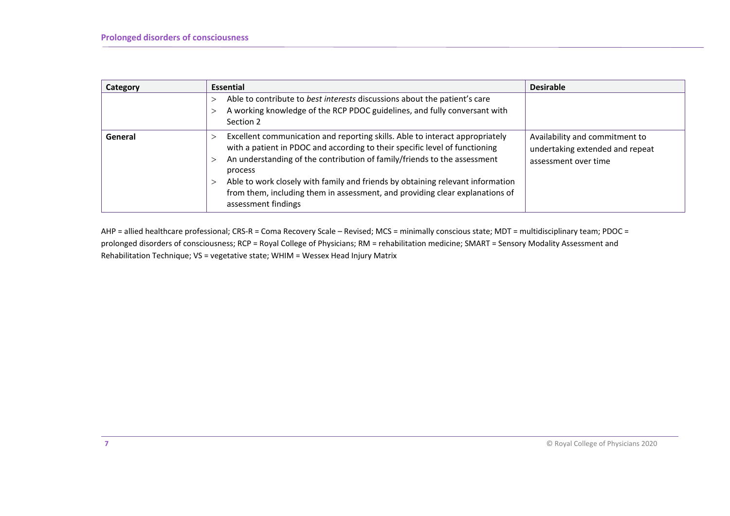| Category | <b>Essential</b>                                                                                                                                                                                                                                                                                                                                                                                                                            | <b>Desirable</b>                                                                          |  |  |
|----------|---------------------------------------------------------------------------------------------------------------------------------------------------------------------------------------------------------------------------------------------------------------------------------------------------------------------------------------------------------------------------------------------------------------------------------------------|-------------------------------------------------------------------------------------------|--|--|
|          | Able to contribute to best interests discussions about the patient's care<br>A working knowledge of the RCP PDOC guidelines, and fully conversant with<br>Section 2                                                                                                                                                                                                                                                                         |                                                                                           |  |  |
| General  | Excellent communication and reporting skills. Able to interact appropriately<br>with a patient in PDOC and according to their specific level of functioning<br>An understanding of the contribution of family/friends to the assessment<br>process<br>Able to work closely with family and friends by obtaining relevant information<br>from them, including them in assessment, and providing clear explanations of<br>assessment findings | Availability and commitment to<br>undertaking extended and repeat<br>assessment over time |  |  |

AHP = allied healthcare professional; CRS-R = Coma Recovery Scale – Revised; MCS = minimally conscious state; MDT = multidisciplinary team; PDOC = prolonged disorders of consciousness; RCP = Royal College of Physicians; RM = rehabilitation medicine; SMART = Sensory Modality Assessment and Rehabilitation Technique; VS = vegetative state; WHIM = Wessex Head Injury Matrix